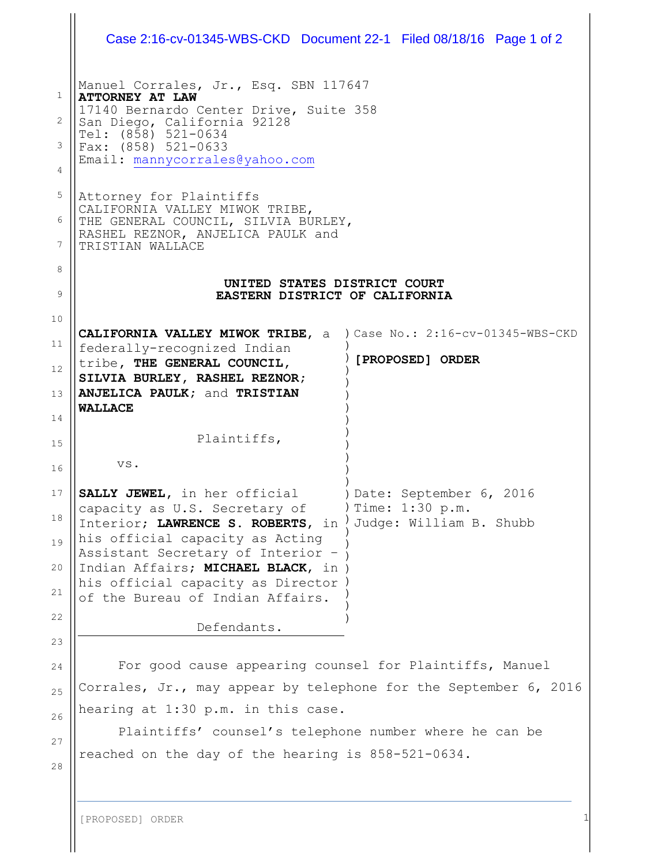|                              | Case 2:16-cv-01345-WBS-CKD Document 22-1 Filed 08/18/16 Page 1 of 2                                                                                                                                                                                                                        |                                                                        |  |
|------------------------------|--------------------------------------------------------------------------------------------------------------------------------------------------------------------------------------------------------------------------------------------------------------------------------------------|------------------------------------------------------------------------|--|
| $\mathbf{1}$<br>2<br>3.<br>4 | Manuel Corrales, Jr., Esq. SBN 117647<br><b>ATTORNEY AT LAW</b><br>17140 Bernardo Center Drive, Suite 358<br>San Diego, California 92128<br>Tel: (858) 521-0634<br>Fax: (858) 521-0633<br>Email: mannycorrales@yahoo.com                                                                   |                                                                        |  |
| 5<br>6<br>7                  | Attorney for Plaintiffs<br>CALIFORNIA VALLEY MIWOK TRIBE,<br>THE GENERAL COUNCIL, SILVIA BURLEY,<br>RASHEL REZNOR, ANJELICA PAULK and<br>TRISTIAN WALLACE                                                                                                                                  |                                                                        |  |
| 8<br>9                       | UNITED STATES DISTRICT COURT<br>EASTERN DISTRICT OF CALIFORNIA                                                                                                                                                                                                                             |                                                                        |  |
| 10<br>11<br>12<br>13<br>14   | CALIFORNIA VALLEY MIWOK TRIBE, a ) Case No.: 2:16-cv-01345-WBS-CKD<br>federally-recognized Indian<br>tribe, THE GENERAL COUNCIL,<br>SILVIA BURLEY, RASHEL REZNOR;<br>ANJELICA PAULK; and TRISTIAN<br><b>WALLACE</b>                                                                        | [PROPOSED] ORDER                                                       |  |
| 15<br>16                     | Plaintiffs,<br>VS.                                                                                                                                                                                                                                                                         |                                                                        |  |
| 17<br>18<br>19<br>20<br>21   | SALLY JEWEL, in her official<br>capacity as U.S. Secretary of<br>Interior; LAWRENCE S. ROBERTS, in<br>his official capacity as Acting<br>Assistant Secretary of Interior -<br>Indian Affairs; MICHAEL BLACK, in )<br>his official capacity as Director<br>of the Bureau of Indian Affairs. | )Date: September 6, 2016<br>Time: 1:30 p.m.<br>Judge: William B. Shubb |  |
| 22<br>23                     | Defendants.                                                                                                                                                                                                                                                                                |                                                                        |  |
| 24<br>25<br>26<br>27<br>28   | For good cause appearing counsel for Plaintiffs, Manuel<br>Corrales, Jr., may appear by telephone for the September 6, 2016<br>hearing at 1:30 p.m. in this case.<br>Plaintiffs' counsel's telephone number where he can be<br>reached on the day of the hearing is 858-521-0634.          |                                                                        |  |
|                              | [PROPOSED] ORDER                                                                                                                                                                                                                                                                           |                                                                        |  |

 $\mathbf{\mathcal{H}}$